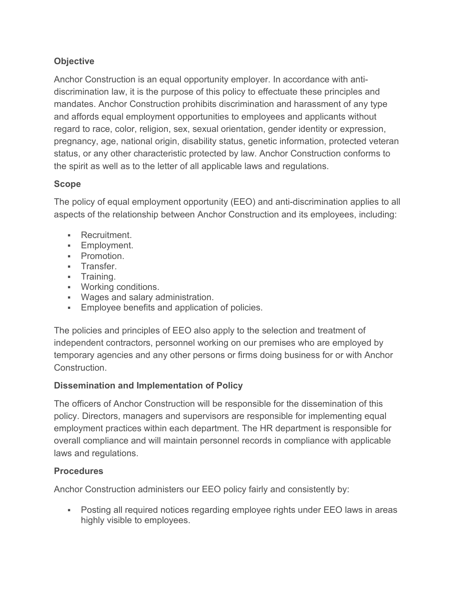# **Objective**

Anchor Construction is an equal opportunity employer. In accordance with antidiscrimination law, it is the purpose of this policy to effectuate these principles and mandates. Anchor Construction prohibits discrimination and harassment of any type and affords equal employment opportunities to employees and applicants without regard to race, color, religion, sex, sexual orientation, gender identity or expression, pregnancy, age, national origin, disability status, genetic information, protected veteran status, or any other characteristic protected by law. Anchor Construction conforms to the spirit as well as to the letter of all applicable laws and regulations.

#### **Scope**

The policy of equal employment opportunity (EEO) and anti-discrimination applies to all aspects of the relationship between Anchor Construction and its employees, including:

- **Recruitment.**
- **Employment.**
- **•** Promotion.
- **Transfer.**
- **Training.**
- Working conditions.
- Wages and salary administration.
- **Employee benefits and application of policies.**

The policies and principles of EEO also apply to the selection and treatment of independent contractors, personnel working on our premises who are employed by temporary agencies and any other persons or firms doing business for or with Anchor Construction.

## **Dissemination and Implementation of Policy**

The officers of Anchor Construction will be responsible for the dissemination of this policy. Directors, managers and supervisors are responsible for implementing equal employment practices within each department. The HR department is responsible for overall compliance and will maintain personnel records in compliance with applicable laws and regulations.

## **Procedures**

Anchor Construction administers our EEO policy fairly and consistently by:

 Posting all required notices regarding employee rights under EEO laws in areas highly visible to employees.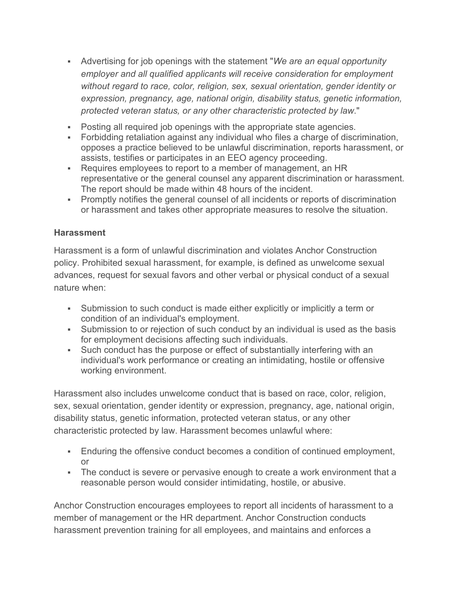- Advertising for job openings with the statement "*We are an equal opportunity employer and all qualified applicants will receive consideration for employment without regard to race, color, religion, sex, sexual orientation, gender identity or expression, pregnancy, age, national origin, disability status, genetic information, protected veteran status, or any other characteristic protected by law*."
- Posting all required job openings with the appropriate state agencies.
- Forbidding retaliation against any individual who files a charge of discrimination, opposes a practice believed to be unlawful discrimination, reports harassment, or assists, testifies or participates in an EEO agency proceeding.
- Requires employees to report to a member of management, an HR representative or the general counsel any apparent discrimination or harassment. The report should be made within 48 hours of the incident.
- Promptly notifies the general counsel of all incidents or reports of discrimination or harassment and takes other appropriate measures to resolve the situation.

#### **Harassment**

Harassment is a form of unlawful discrimination and violates Anchor Construction policy. Prohibited sexual harassment, for example, is defined as unwelcome sexual advances, request for sexual favors and other verbal or physical conduct of a sexual nature when:

- Submission to such conduct is made either explicitly or implicitly a term or condition of an individual's employment.
- Submission to or rejection of such conduct by an individual is used as the basis for employment decisions affecting such individuals.
- Such conduct has the purpose or effect of substantially interfering with an individual's work performance or creating an intimidating, hostile or offensive working environment.

Harassment also includes unwelcome conduct that is based on race, color, religion, sex, sexual orientation, gender identity or expression, pregnancy, age, national origin, disability status, genetic information, protected veteran status, or any other characteristic protected by law. Harassment becomes unlawful where:

- Enduring the offensive conduct becomes a condition of continued employment, or
- The conduct is severe or pervasive enough to create a work environment that a reasonable person would consider intimidating, hostile, or abusive.

Anchor Construction encourages employees to report all incidents of harassment to a member of management or the HR department. Anchor Construction conducts harassment prevention training for all employees, and maintains and enforces a